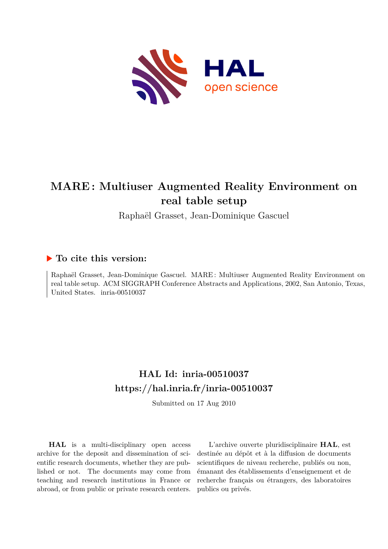

# **MARE : Multiuser Augmented Reality Environment on real table setup**

Raphaël Grasset, Jean-Dominique Gascuel

### **To cite this version:**

Raphaël Grasset, Jean-Dominique Gascuel. MARE : Multiuser Augmented Reality Environment on real table setup. ACM SIGGRAPH Conference Abstracts and Applications, 2002, San Antonio, Texas, United States. inria-00510037

## **HAL Id: inria-00510037 <https://hal.inria.fr/inria-00510037>**

Submitted on 17 Aug 2010

**HAL** is a multi-disciplinary open access archive for the deposit and dissemination of scientific research documents, whether they are published or not. The documents may come from teaching and research institutions in France or abroad, or from public or private research centers.

L'archive ouverte pluridisciplinaire **HAL**, est destinée au dépôt et à la diffusion de documents scientifiques de niveau recherche, publiés ou non, émanant des établissements d'enseignement et de recherche français ou étrangers, des laboratoires publics ou privés.